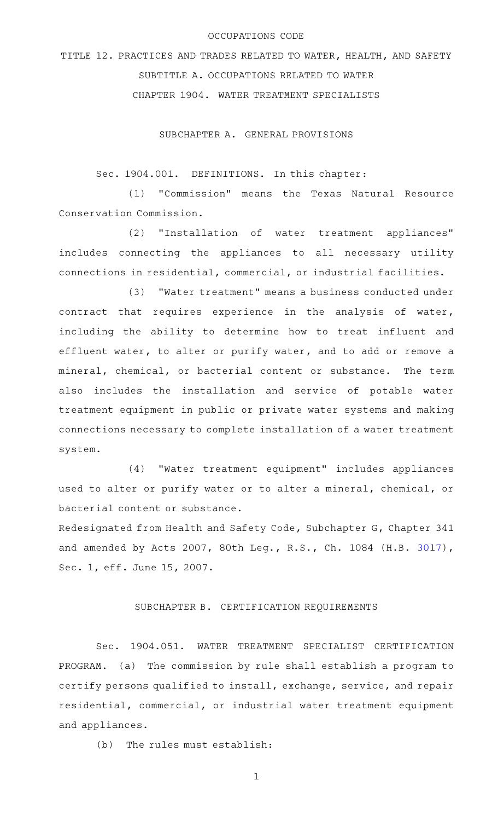## OCCUPATIONS CODE

TITLE 12. PRACTICES AND TRADES RELATED TO WATER, HEALTH, AND SAFETY SUBTITLE A. OCCUPATIONS RELATED TO WATER CHAPTER 1904. WATER TREATMENT SPECIALISTS

SUBCHAPTER A. GENERAL PROVISIONS

Sec. 1904.001. DEFINITIONS. In this chapter:

(1) "Commission" means the Texas Natural Resource Conservation Commission.

(2) "Installation of water treatment appliances" includes connecting the appliances to all necessary utility connections in residential, commercial, or industrial facilities.

(3) "Water treatment" means a business conducted under contract that requires experience in the analysis of water, including the ability to determine how to treat influent and effluent water, to alter or purify water, and to add or remove a mineral, chemical, or bacterial content or substance. The term also includes the installation and service of potable water treatment equipment in public or private water systems and making connections necessary to complete installation of a water treatment system.

(4) "Water treatment equipment" includes appliances used to alter or purify water or to alter a mineral, chemical, or bacterial content or substance.

Redesignated from Health and Safety Code, Subchapter G, Chapter 341 and amended by Acts 2007, 80th Leg., R.S., Ch. 1084 (H.B. [3017\)](http://www.legis.state.tx.us/tlodocs/80R/billtext/html/HB03017F.HTM), Sec. 1, eff. June 15, 2007.

## SUBCHAPTER B. CERTIFICATION REQUIREMENTS

Sec. 1904.051. WATER TREATMENT SPECIALIST CERTIFICATION PROGRAM. (a) The commission by rule shall establish a program to certify persons qualified to install, exchange, service, and repair residential, commercial, or industrial water treatment equipment and appliances.

 $(b)$  The rules must establish:

1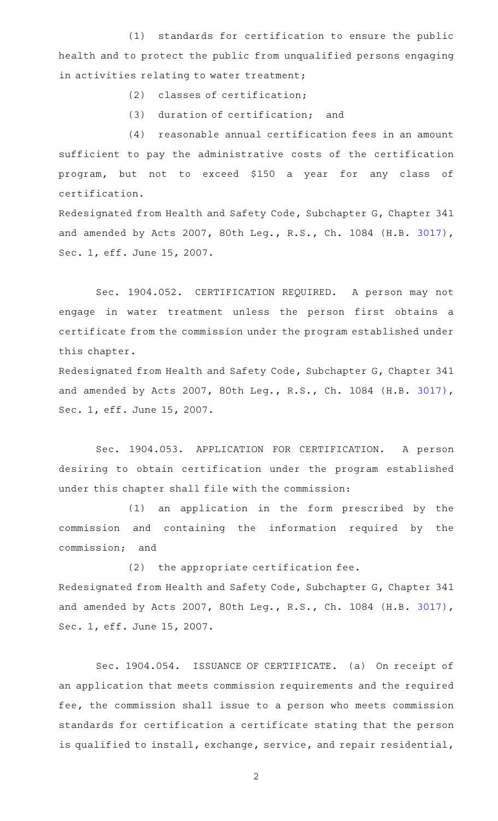(1) standards for certification to ensure the public health and to protect the public from unqualified persons engaging in activities relating to water treatment;

 $(2)$  classes of certification;

(3) duration of certification; and

 $(4)$  reasonable annual certification fees in an amount sufficient to pay the administrative costs of the certification program, but not to exceed \$150 a year for any class of certification.

Redesignated from Health and Safety Code, Subchapter G, Chapter 341 and amended by Acts 2007, 80th Leg., R.S., Ch. 1084 (H.B. [3017\)](http://www.legis.state.tx.us/tlodocs/80R/billtext/html/HB03017F.HTM), Sec. 1, eff. June 15, 2007.

Sec. 1904.052. CERTIFICATION REQUIRED. A person may not engage in water treatment unless the person first obtains a certificate from the commission under the program established under this chapter.

Redesignated from Health and Safety Code, Subchapter G, Chapter 341 and amended by Acts 2007, 80th Leg., R.S., Ch. 1084 (H.B. [3017\)](http://www.legis.state.tx.us/tlodocs/80R/billtext/html/HB03017F.HTM), Sec. 1, eff. June 15, 2007.

Sec. 1904.053. APPLICATION FOR CERTIFICATION. A person desiring to obtain certification under the program established under this chapter shall file with the commission:

 $(1)$  an application in the form prescribed by the commission and containing the information required by the commission; and

 $(2)$  the appropriate certification fee. Redesignated from Health and Safety Code, Subchapter G, Chapter 341 and amended by Acts 2007, 80th Leg., R.S., Ch. 1084 (H.B. [3017\)](http://www.legis.state.tx.us/tlodocs/80R/billtext/html/HB03017F.HTM), Sec. 1, eff. June 15, 2007.

Sec. 1904.054. ISSUANCE OF CERTIFICATE. (a) On receipt of an application that meets commission requirements and the required fee, the commission shall issue to a person who meets commission standards for certification a certificate stating that the person is qualified to install, exchange, service, and repair residential,

2